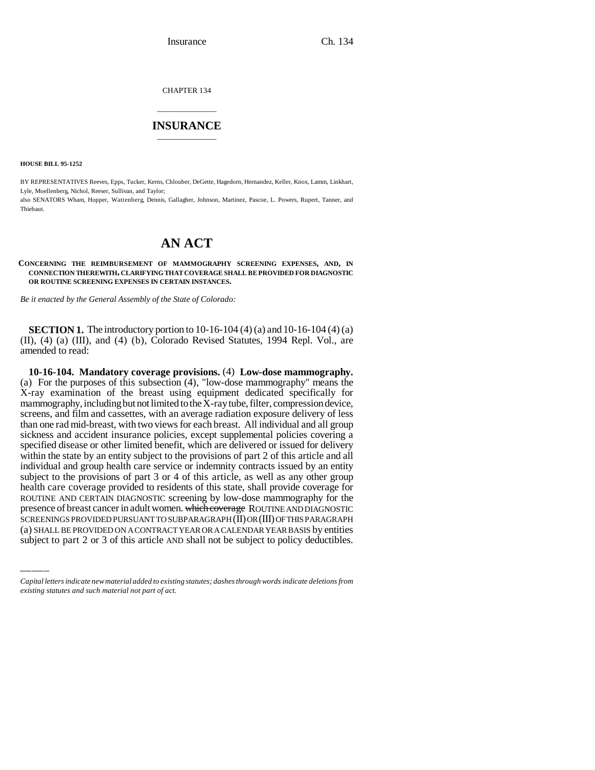Insurance Ch. 134

CHAPTER 134

## \_\_\_\_\_\_\_\_\_\_\_\_\_\_\_ **INSURANCE** \_\_\_\_\_\_\_\_\_\_\_\_\_\_\_

**HOUSE BILL 95-1252**

BY REPRESENTATIVES Reeves, Epps, Tucker, Kerns, Chlouber, DeGette, Hagedorn, Hernandez, Keller, Knox, Lamm, Linkhart, Lyle, Moellenberg, Nichol, Reeser, Sullivan, and Taylor; also SENATORS Wham, Hopper, Wattenberg, Dennis, Gallagher, Johnson, Martinez, Pascoe, L. Powers, Rupert, Tanner, and

**Thiebaut.** 

## **AN ACT**

## **CONCERNING THE REIMBURSEMENT OF MAMMOGRAPHY SCREENING EXPENSES, AND, IN CONNECTION THEREWITH, CLARIFYING THAT COVERAGE SHALL BE PROVIDED FOR DIAGNOSTIC OR ROUTINE SCREENING EXPENSES IN CERTAIN INSTANCES.**

*Be it enacted by the General Assembly of the State of Colorado:*

**SECTION 1.** The introductory portion to 10-16-104 (4) (a) and 10-16-104 (4) (a) (II), (4) (a) (III), and (4) (b), Colorado Revised Statutes, 1994 Repl. Vol., are amended to read:

ROUTINE AND CERTAIN DIAGNOSTIC screening by low-dose mammography for the **10-16-104. Mandatory coverage provisions.** (4) **Low-dose mammography.** (a) For the purposes of this subsection (4), "low-dose mammography" means the X-ray examination of the breast using equipment dedicated specifically for mammography, including but not limited to the  $X$ -ray tube, filter, compression device, screens, and film and cassettes, with an average radiation exposure delivery of less than one rad mid-breast, with two views for each breast. All individual and all group sickness and accident insurance policies, except supplemental policies covering a specified disease or other limited benefit, which are delivered or issued for delivery within the state by an entity subject to the provisions of part 2 of this article and all individual and group health care service or indemnity contracts issued by an entity subject to the provisions of part 3 or 4 of this article, as well as any other group health care coverage provided to residents of this state, shall provide coverage for presence of breast cancer in adult women. which coverage ROUTINE AND DIAGNOSTIC SCREENINGS PROVIDED PURSUANT TO SUBPARAGRAPH (II) OR (III) OF THIS PARAGRAPH (a) SHALL BE PROVIDED ON A CONTRACT YEAR OR A CALENDAR YEAR BASIS by entities subject to part 2 or 3 of this article AND shall not be subject to policy deductibles.

*Capital letters indicate new material added to existing statutes; dashes through words indicate deletions from existing statutes and such material not part of act.*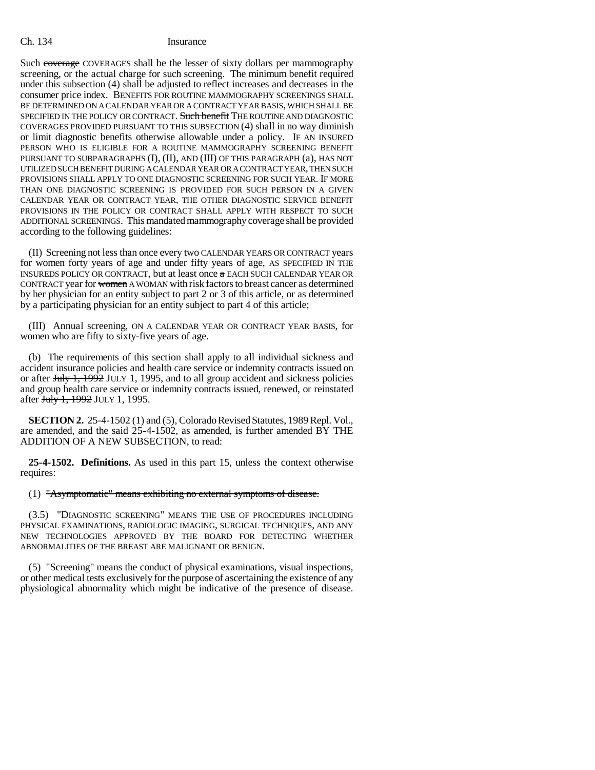Such coverage COVERAGES shall be the lesser of sixty dollars per mammography screening, or the actual charge for such screening. The minimum benefit required under this subsection (4) shall be adjusted to reflect increases and decreases in the consumer price index. BENEFITS FOR ROUTINE MAMMOGRAPHY SCREENINGS SHALL BE DETERMINED ON A CALENDAR YEAR OR A CONTRACT YEAR BASIS, WHICH SHALL BE SPECIFIED IN THE POLICY OR CONTRACT. Such benefit THE ROUTINE AND DIAGNOSTIC COVERAGES PROVIDED PURSUANT TO THIS SUBSECTION (4) shall in no way diminish or limit diagnostic benefits otherwise allowable under a policy. IF AN INSURED PERSON WHO IS ELIGIBLE FOR A ROUTINE MAMMOGRAPHY SCREENING BENEFIT PURSUANT TO SUBPARAGRAPHS (I), (II), AND (III) OF THIS PARAGRAPH (a), HAS NOT UTILIZED SUCH BENEFIT DURING A CALENDAR YEAR OR A CONTRACT YEAR, THEN SUCH PROVISIONS SHALL APPLY TO ONE DIAGNOSTIC SCREENING FOR SUCH YEAR. IF MORE THAN ONE DIAGNOSTIC SCREENING IS PROVIDED FOR SUCH PERSON IN A GIVEN CALENDAR YEAR OR CONTRACT YEAR, THE OTHER DIAGNOSTIC SERVICE BENEFIT PROVISIONS IN THE POLICY OR CONTRACT SHALL APPLY WITH RESPECT TO SUCH ADDITIONAL SCREENINGS. This mandated mammography coverage shall be provided according to the following guidelines:

(II) Screening not less than once every two CALENDAR YEARS OR CONTRACT years for women forty years of age and under fifty years of age, AS SPECIFIED IN THE INSUREDS POLICY OR CONTRACT, but at least once a EACH SUCH CALENDAR YEAR OR CONTRACT year for women A WOMAN with risk factors to breast cancer as determined by her physician for an entity subject to part 2 or 3 of this article, or as determined by a participating physician for an entity subject to part 4 of this article;

(III) Annual screening, ON A CALENDAR YEAR OR CONTRACT YEAR BASIS, for women who are fifty to sixty-five years of age.

(b) The requirements of this section shall apply to all individual sickness and accident insurance policies and health care service or indemnity contracts issued on or after Huly 1, 1992 JULY 1, 1995, and to all group accident and sickness policies and group health care service or indemnity contracts issued, renewed, or reinstated after July 1, 1992 JULY 1, 1995.

**SECTION 2.** 25-4-1502 (1) and (5), Colorado Revised Statutes, 1989 Repl. Vol., are amended, and the said 25-4-1502, as amended, is further amended BY THE ADDITION OF A NEW SUBSECTION, to read:

**25-4-1502. Definitions.** As used in this part 15, unless the context otherwise requires:

(1) "Asymptomatic" means exhibiting no external symptoms of disease.

(3.5) "DIAGNOSTIC SCREENING" MEANS THE USE OF PROCEDURES INCLUDING PHYSICAL EXAMINATIONS, RADIOLOGIC IMAGING, SURGICAL TECHNIQUES, AND ANY NEW TECHNOLOGIES APPROVED BY THE BOARD FOR DETECTING WHETHER ABNORMALITIES OF THE BREAST ARE MALIGNANT OR BENIGN.

(5) "Screening" means the conduct of physical examinations, visual inspections, or other medical tests exclusively for the purpose of ascertaining the existence of any physiological abnormality which might be indicative of the presence of disease.